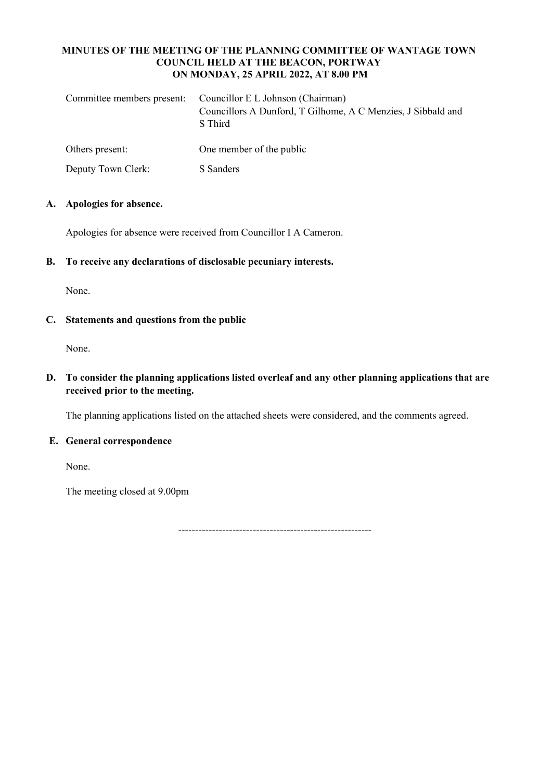### **MINUTES OF THE MEETING OF THE PLANNING COMMITTEE OF WANTAGE TOWN COUNCIL HELD AT THE BEACON, PORTWAY ON MONDAY, 25 APRIL 2022, AT 8.00 PM**

|                    | Committee members present: Councillor E L Johnson (Chairman)<br>Councillors A Dunford, T Gilhome, A C Menzies, J Sibbald and<br>S Third |
|--------------------|-----------------------------------------------------------------------------------------------------------------------------------------|
| Others present:    | One member of the public                                                                                                                |
| Deputy Town Clerk: | S Sanders                                                                                                                               |

## **A. Apologies for absence.**

Apologies for absence were received from Councillor I A Cameron.

**B. To receive any declarations of disclosable pecuniary interests.**

None.

## **C. Statements and questions from the public**

None.

**D. To consider the planning applications listed overleaf and any other planning applications that are received prior to the meeting.**

The planning applications listed on the attached sheets were considered, and the comments agreed.

### **E. General correspondence**

None.

The meeting closed at 9.00pm

---------------------------------------------------------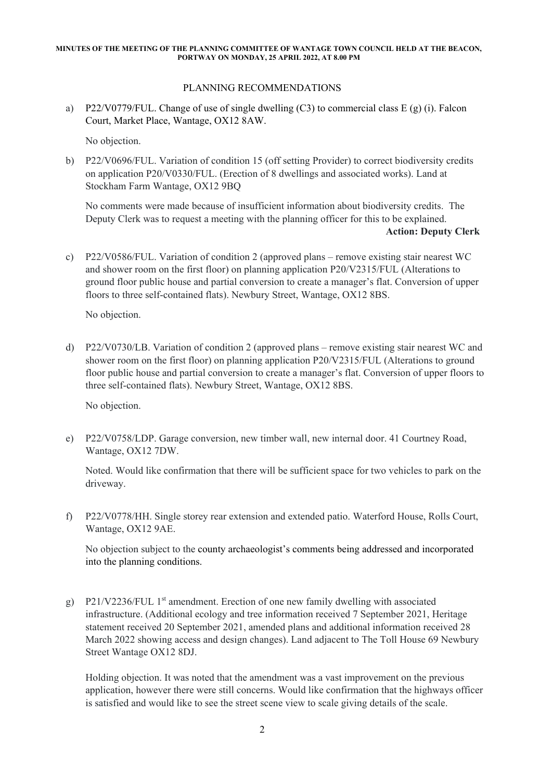#### **MINUTES OF THE MEETING OF THE PLANNING COMMITTEE OF WANTAGE TOWN COUNCIL HELD AT THE BEACON, PORTWAY ON MONDAY, 25 APRIL 2022, AT 8.00 PM**

# PLANNING RECOMMENDATIONS

a) P22/V0779/FUL. Change of use of single dwelling (C3) to commercial class E (g) (i). Falcon Court, Market Place, Wantage, OX12 8AW.

No objection.

b) P22/V0696/FUL. Variation of condition 15 (off setting Provider) to correct biodiversity credits on application P20/V0330/FUL. (Erection of 8 dwellings and associated works). Land at Stockham Farm Wantage, OX12 9BQ

No comments were made because of insufficient information about biodiversity credits. The Deputy Clerk was to request a meeting with the planning officer for this to be explained. **Action: Deputy Clerk** 

c) P22/V0586/FUL. Variation of condition 2 (approved plans – remove existing stair nearest WC and shower room on the first floor) on planning application P20/V2315/FUL (Alterations to ground floor public house and partial conversion to create a manager's flat. Conversion of upper floors to three self-contained flats). Newbury Street, Wantage, OX12 8BS.

No objection.

d) P22/V0730/LB. Variation of condition 2 (approved plans – remove existing stair nearest WC and shower room on the first floor) on planning application P20/V2315/FUL (Alterations to ground floor public house and partial conversion to create a manager's flat. Conversion of upper floors to three self-contained flats). Newbury Street, Wantage, OX12 8BS.

No objection.

e) P22/V0758/LDP. Garage conversion, new timber wall, new internal door. 41 Courtney Road, Wantage, OX12 7DW.

Noted. Would like confirmation that there will be sufficient space for two vehicles to park on the driveway.

f) P22/V0778/HH. Single storey rear extension and extended patio. Waterford House, Rolls Court, Wantage, OX12 9AE.

No objection subject to the county archaeologist's comments being addressed and incorporated into the planning conditions.

g) P21/V2236/FUL 1<sup>st</sup> amendment. Erection of one new family dwelling with associated infrastructure. (Additional ecology and tree information received 7 September 2021, Heritage statement received 20 September 2021, amended plans and additional information received 28 March 2022 showing access and design changes). Land adjacent to The Toll House 69 Newbury Street Wantage OX12 8DJ.

Holding objection. It was noted that the amendment was a vast improvement on the previous application, however there were still concerns. Would like confirmation that the highways officer is satisfied and would like to see the street scene view to scale giving details of the scale.